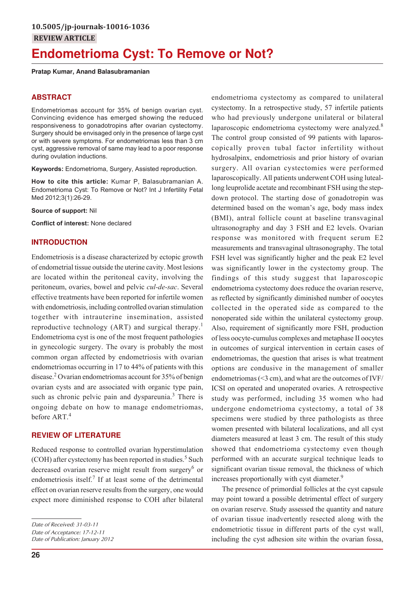# **Endometrioma Cyst: To Remove or Not?**

### **Pratap Kumar, Anand Balasubramanian**

# **ABSTRACT**

Endometriomas account for 35% of benign ovarian cyst. Convincing evidence has emerged showing the reduced responsiveness to gonadotropins after ovarian cystectomy. Surgery should be envisaged only in the presence of large cyst or with severe symptoms. For endometriomas less than 3 cm cyst, aggressive removal of same may lead to a poor response during ovulation inductions.

**Keywords:** Endometrioma, Surgery, Assisted reproduction.

**How to cite this article:** Kumar P, Balasubramanian A. Endometrioma Cyst: To Remove or Not? Int J Infertility Fetal Med 2012;3(1):26-29.

**Source of support:** Nil

**Conflict of interest:** None declared

# **INTRODUCTION**

Endometriosis is a disease characterized by ectopic growth of endometrial tissue outside the uterine cavity. Most lesions are located within the peritoneal cavity, involving the peritoneum, ovaries, bowel and pelvic *cul-de-sac*. Several effective treatments have been reported for infertile women with endometriosis, including controlled ovarian stimulation together with intrauterine insemination, assisted reproductive technology (ART) and surgical therapy.<sup>1</sup> Endometrioma cyst is one of the most frequent pathologies in gynecologic surgery. The ovary is probably the most common organ affected by endometriosis with ovarian endometriomas occurring in 17 to 44% of patients with this disease.<sup>2</sup> Ovarian endometriomas account for 35% of benign ovarian cysts and are associated with organic type pain, such as chronic pelvic pain and dyspareunia.<sup>3</sup> There is ongoing debate on how to manage endometriomas, before ART.<sup>4</sup>

#### **REVIEW OF LITERATURE**

Reduced response to controlled ovarian hyperstimulation (COH) after cystectomy has been reported in studies.<sup>5</sup> Such decreased ovarian reserve might result from surgery<sup>6</sup> or endometriosis itself.<sup>7</sup> If at least some of the detrimental effect on ovarian reserve results from the surgery, one would expect more diminished response to COH after bilateral

*Date of Acceptance: 17-12-11 Date of Publication: January 2012* The control group consisted of 99 patients with laparoscopically proven tubal factor infertility without hydrosalpinx, endometriosis and prior history of ovarian surgery. All ovarian cystectomies were performed laparoscopically. All patients underwent COH using luteallong leuprolide acetate and recombinant FSH using the stepdown protocol. The starting dose of gonadotropin was determined based on the woman's age, body mass index (BMI), antral follicle count at baseline transvaginal ultrasonography and day 3 FSH and E2 levels. Ovarian response was monitored with frequent serum E2 measurements and transvaginal ultrasonography. The total FSH level was significantly higher and the peak E2 level was significantly lower in the cystectomy group. The findings of this study suggest that laparoscopic endometrioma cystectomy does reduce the ovarian reserve, as reflected by significantly diminished number of oocytes collected in the operated side as compared to the nonoperated side within the unilateral cystectomy group. Also, requirement of significantly more FSH, production of less oocyte-cumulus complexes and metaphase II oocytes in outcomes of surgical intervention in certain cases of endometriomas, the question that arises is what treatment options are condusive in the management of smaller endometriomas (<3 cm), and what are the outcomes of IVF/ ICSI on operated and unoperated ovaries. A retrospective study was performed, including 35 women who had undergone endometrioma cystectomy, a total of 38 specimens were studied by three pathologists as three women presented with bilateral localizations, and all cyst diameters measured at least 3 cm. The result of this study showed that endometrioma cystectomy even though performed with an accurate surgical technique leads to significant ovarian tissue removal, the thickness of which increases proportionally with cyst diameter.<sup>9</sup> The presence of primordial follicles at the cyst capsule

endometrioma cystectomy as compared to unilateral cystectomy. In a retrospective study, 57 infertile patients who had previously undergone unilateral or bilateral laparoscopic endometrioma cystectomy were analyzed. $8$ 

may point toward a possible detrimental effect of surgery on ovarian reserve. Study assessed the quantity and nature of ovarian tissue inadvertently resected along with the endometriotic tissue in different parts of the cyst wall, including the cyst adhesion site within the ovarian fossa,

*Date of Received: 31-03-11*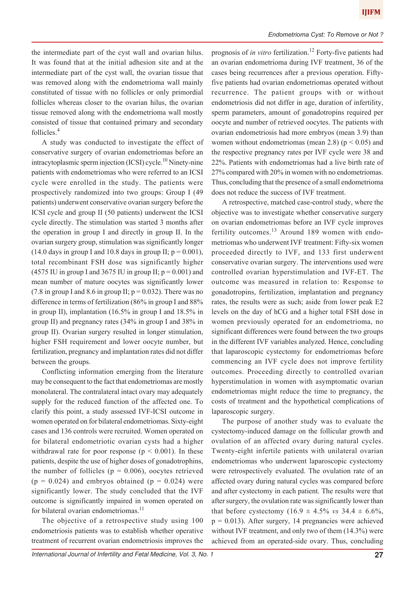the intermediate part of the cyst wall and ovarian hilus. It was found that at the initial adhesion site and at the intermediate part of the cyst wall, the ovarian tissue that was removed along with the endometrioma wall mainly constituted of tissue with no follicles or only primordial follicles whereas closer to the ovarian hilus, the ovarian tissue removed along with the endometrioma wall mostly consisted of tissue that contained primary and secondary follicles.<sup>4</sup>

A study was conducted to investigate the effect of conservative surgery of ovarian endometriomas before an intracytoplasmic sperm injection (ICSI) cycle.<sup>10</sup> Ninety-nine patients with endometriomas who were referred to an ICSI cycle were enrolled in the study. The patients were prospectively randomized into two groups: Group I (49 patients) underwent conservative ovarian surgery before the ICSI cycle and group II (50 patients) underwent the ICSI cycle directly. The stimulation was started 3 months after the operation in group I and directly in group II. In the ovarian surgery group, stimulation was significantly longer (14.0 days in group I and 10.8 days in group II;  $p = 0.001$ ), total recombinant FSH dose was significantly higher (4575 IU in group I and 3675 IU in group II;  $p = 0.001$ ) and mean number of mature oocytes was significantly lower (7.8 in group I and 8.6 in group II;  $p = 0.032$ ). There was no difference in terms of fertilization (86% in group I and 88% in group II), implantation (16.5% in group I and 18.5% in group II) and pregnancy rates (34% in group I and 38% in group II). Ovarian surgery resulted in longer stimulation, higher FSH requirement and lower oocyte number, but fertilization, pregnancy and implantation rates did not differ between the groups.

Conflicting information emerging from the literature may be consequent to the fact that endometriomas are mostly monolateral. The contralateral intact ovary may adequately supply for the reduced function of the affected one. To clarify this point, a study assessed IVF-ICSI outcome in women operated on for bilateral endometriomas. Sixty-eight cases and 136 controls were recruited. Women operated on for bilateral endometriotic ovarian cysts had a higher withdrawal rate for poor response ( $p < 0.001$ ). In these patients, despite the use of higher doses of gonadotrophins, the number of follicles ( $p = 0.006$ ), oocytes retrieved  $(p = 0.024)$  and embryos obtained  $(p = 0.024)$  were significantly lower. The study concluded that the IVF outcome is significantly impaired in women operated on for bilateral ovarian endometriomas.<sup>11</sup>

The objective of a retrospective study using 100 endometriosis patients was to establish whether operative treatment of recurrent ovarian endometriosis improves the prognosis of *in vitro* fertilization.<sup>12</sup> Forty-five patients had an ovarian endometrioma during IVF treatment, 36 of the cases being recurrences after a previous operation. Fiftyfive patients had ovarian endometriomas operated without recurrence. The patient groups with or without endometriosis did not differ in age, duration of infertility, sperm parameters, amount of gonadotropins required per oocyte and number of retrieved oocytes. The patients with ovarian endometriosis had more embryos (mean 3.9) than women without endometriomas (mean 2.8) ( $p < 0.05$ ) and the respective pregnancy rates per IVF cycle were 38 and 22%. Patients with endometriomas had a live birth rate of 27% compared with 20% in women with no endometriomas. Thus, concluding that the presence of a small endometrioma does not reduce the success of IVF treatment.

A retrospective, matched case-control study, where the objective was to investigate whether conservative surgery on ovarian endometriomas before an IVF cycle improves fertility outcomes.<sup>13</sup> Around 189 women with endometriomas who underwent IVF treatment: Fifty-six women proceeded directly to IVF, and 133 first underwent conservative ovarian surgery. The interventions used were controlled ovarian hyperstimulation and IVF-ET. The outcome was measured in relation to: Response to gonadotropins, fertilization, implantation and pregnancy rates, the results were as such; aside from lower peak E2 levels on the day of hCG and a higher total FSH dose in women previously operated for an endometrioma, no significant differences were found between the two groups in the different IVF variables analyzed. Hence, concluding that laparoscopic cystectomy for endometriomas before commencing an IVF cycle does not improve fertility outcomes. Proceeding directly to controlled ovarian hyperstimulation in women with asymptomatic ovarian endometriomas might reduce the time to pregnancy, the costs of treatment and the hypothetical complications of laparoscopic surgery.

The purpose of another study was to evaluate the cystectomy-induced damage on the follicular growth and ovulation of an affected ovary during natural cycles. Twenty-eight infertile patients with unilateral ovarian endometriomas who underwent laparoscopic cystectomy were retrospectively evaluated. The ovulation rate of an affected ovary during natural cycles was compared before and after cystectomy in each patient. The results were that after surgery, the ovulation rate was significantly lower than that before cystectomy  $(16.9 \pm 4.5\% \text{ vs } 34.4 \pm 6.6\%,$  $p = 0.013$ ). After surgery, 14 pregnancies were achieved without IVF treatment, and only two of them (14.3%) were achieved from an operated-side ovary. Thus, concluding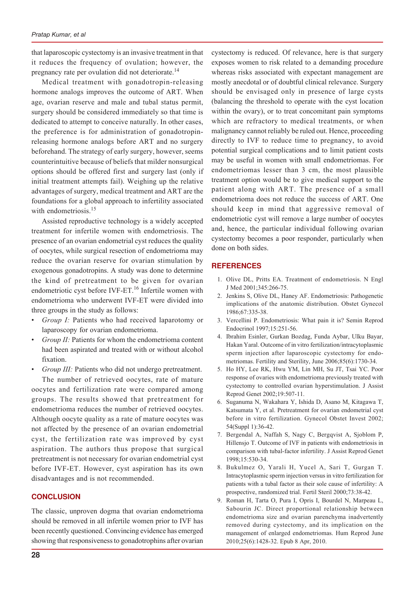that laparoscopic cystectomy is an invasive treatment in that it reduces the frequency of ovulation; however, the pregnancy rate per ovulation did not deteriorate.<sup>14</sup>

Medical treatment with gonadotropin-releasing hormone analogs improves the outcome of ART. When age, ovarian reserve and male and tubal status permit, surgery should be considered immediately so that time is dedicated to attempt to conceive naturally. In other cases, the preference is for administration of gonadotropinreleasing hormone analogs before ART and no surgery beforehand. The strategy of early surgery, however, seems counterintuitive because of beliefs that milder nonsurgical options should be offered first and surgery last (only if initial treatment attempts fail). Weighing up the relative advantages of surgery, medical treatment and ART are the foundations for a global approach to infertility associated with endometriosis.<sup>15</sup>

Assisted reproductive technology is a widely accepted treatment for infertile women with endometriosis. The presence of an ovarian endometrial cyst reduces the quality of oocytes, while surgical resection of endometrioma may reduce the ovarian reserve for ovarian stimulation by exogenous gonadotropins. A study was done to determine the kind of pretreatment to be given for ovarian endometriotic cyst before IVF-ET.<sup>16</sup> Infertile women with endometrioma who underwent IVF-ET were divided into three groups in the study as follows:

- *Group I:* Patients who had received laparotomy or laparoscopy for ovarian endometrioma.
- Group II: Patients for whom the endometrioma content had been aspirated and treated with or without alcohol fixation.

Group III: Patients who did not undergo pretreatment. The number of retrieved oocytes, rate of mature oocytes and fertilization rate were compared among groups. The results showed that pretreatment for endometrioma reduces the number of retrieved oocytes. Although oocyte quality as a rate of mature oocytes was not affected by the presence of an ovarian endometrial cyst, the fertilization rate was improved by cyst aspiration. The authors thus propose that surgical pretreatment is not necessary for ovarian endometrial cyst before IVF-ET. However, cyst aspiration has its own disadvantages and is not recommended.

## **CONCLUSION**

The classic, unproven dogma that ovarian endometrioma should be removed in all infertile women prior to IVF has been recently questioned. Convincing evidence has emerged showing that responsiveness to gonadotrophins after ovarian

cystectomy is reduced. Of relevance, here is that surgery exposes women to risk related to a demanding procedure whereas risks associated with expectant management are mostly anecdotal or of doubtful clinical relevance. Surgery should be envisaged only in presence of large cysts (balancing the threshold to operate with the cyst location within the ovary), or to treat concomitant pain symptoms which are refractory to medical treatments, or when malignancy cannot reliably be ruled out. Hence, proceeding directly to IVF to reduce time to pregnancy, to avoid potential surgical complications and to limit patient costs may be useful in women with small endometriomas. For endometriomas lesser than 3 cm, the most plausible treatment option would be to give medical support to the patient along with ART. The presence of a small endometrioma does not reduce the success of ART. One should keep in mind that aggressive removal of endometriotic cyst will remove a large number of oocytes and, hence, the particular individual following ovarian cystectomy becomes a poor responder, particularly when done on both sides.

### **REFERENCES**

- 1. Olive DL, Pritts EA. Treatment of endometriosis. N Engl J Med 2001;345:266-75.
- 2. Jenkins S, Olive DL, Haney AF. Endometriosis: Pathogenetic implications of the anatomic distribution. Obstet Gynecol 1986;67:335-38.
- 3. Vercellini P. Endometriosis: What pain it is? Semin Reprod Endocrinol 1997;15:251-56.
- 4. Ibrahim Esinler, Gurkan Bozdag, Funda Aybar, Ulku Bayar, Hakan Yaral. Outcome of in vitro fertilization/intracytoplasmic sperm injection after laparoscopic cystectomy for endometriomas. Fertility and Sterility, June 2006;85(6):1730-34.
- 5. Ho HY, Lee RK, Hwu YM, Lin MH, Su JT, Tsai YC. Poor response of ovaries with endometrioma previously treated with cystectomy to controlled ovarian hyperstimulation. J Assist Reprod Genet 2002;19:507-11.
- 6. Suganuma N, Wakahara Y, Ishida D, Asano M, Kitagawa T, Katsumata Y, et al. Pretreatment for ovarian endometrial cyst before in vitro fertilization. Gynecol Obstet Invest 2002; 54(Suppl 1):36-42.
- 7. Bergendal A, Naffah S, Nagy C, Bergqvist A, Sjoblom P, Hillensjo T. Outcome of IVF in patients with endometriosis in comparison with tubal-factor infertility. J Assist Reprod Genet 1998;15:530-34.
- 8. Bukulmez O, Yarali H, Yucel A, Sari T, Gurgan T. Intracytoplasmic sperm injection versus in vitro fertilization for patients with a tubal factor as their sole cause of infertility: A prospective, randomized trial. Fertil Steril 2000;73:38-42.
- 9. Roman H, Tarta O, Pura I, Opris I, Bourdel N, Marpeau L, Sabourin JC. Direct proportional relationship between endometrioma size and ovarian parenchyma inadvertently removed during cystectomy, and its implication on the management of enlarged endometriomas. Hum Reprod June 2010;25(6):1428-32. Epub 8 Apr, 2010.